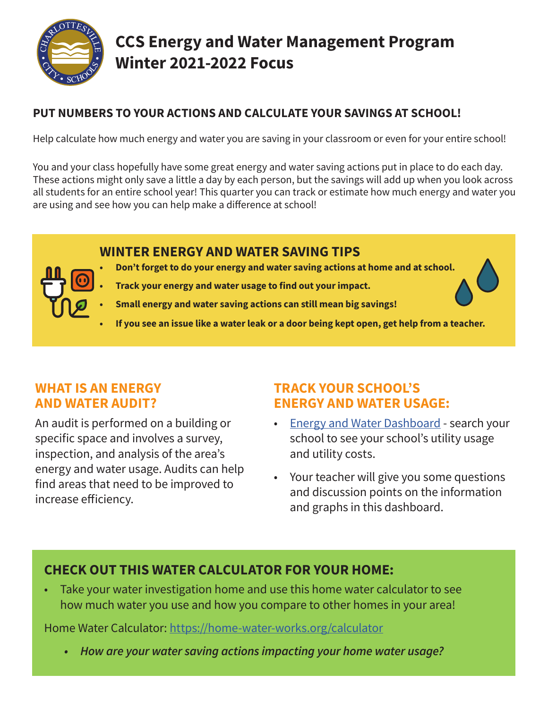

# **CCS Energy and Water Management Program Winter 2021-2022 Focus**

## **PUT NUMBERS TO YOUR ACTIONS AND CALCULATE YOUR SAVINGS AT SCHOOL!**

Help calculate how much energy and water you are saving in your classroom or even for your entire school!

You and your class hopefully have some great energy and water saving actions put in place to do each day. These actions might only save a little a day by each person, but the savings will add up when you look across all students for an entire school year! This quarter you can track or estimate how much energy and water you are using and see how you can help make a difference at school!

## **WINTER ENERGY AND WATER SAVING TIPS**

- **• Don't forget to do your energy and water saving actions at home and at school.**
- **• Track your energy and water usage to find out your impact.**
- **• Small energy and water saving actions can still mean big savings!**
- **• If you see an issue like a water leak or a door being kept open, get help from a teacher.**

## **WHAT IS AN ENERGY AND WATER AUDIT?**

An audit is performed on a building or specific space and involves a survey, inspection, and analysis of the area's energy and water usage. Audits can help find areas that need to be improved to increase efficiency.

## **TRACK YOUR SCHOOL'S ENERGY AND WATER USAGE:**

- [Energy and Water Dashboard](https://app.energycap.com/embedded?key=eyJhbGciOiJIUzI1NiIsInR5cCI6IkpXVCJ9.eyJodHRwczovL2VuZXJneWNhcC5jb20vbWV0YSI6IntcImRhc2hib2FyZFV1aWRcIjpcIjM2QTAyRjQ4QjBBNzQ0NEJBMEMyQzUwODJDNENFMkZGXCIsXCJkYXNoYm9hcmRJZFwiOjExMTUsXCJkYXNoYm9hcmRUeXBlXCI6XCJVU0VSXCJ9IiwiaHR0cHM6Ly9lbmVyZ3ljYXAuY29tL3N1YmplY3QiOiJncmVpbmVyaiIsImh0dHBzOi8vZW5lcmd5Y2FwLmNvbS9kYXRhc291cmNlIjoiY2hhcmxvdHRlc3ZpbGxlIiwiaHR0cHM6Ly9lbmVyZ3ljYXAuY29tL3BhcnRpdGlvbiI6ImVudGVycHJpc2UiLCJodHRwczovL2VuZXJneWNhcC5jb20vdHJ1c3RsZXZlbCI6IlB1YmxpY0Rhc2hib2FyZCIsImh0dHBzOi8vZW5lcmd5Y2FwLmNvbS9hcHBsaWNhdGlvbiI6IkVuZXJneUNBUC1VU0VSIiwibmJmIjoxNjM4MzkyNDg2LCJleHAiOjIxNDYyODA0MDAsImlhdCI6MTYzODM5MjQ4NiwiaXNzIjoiZW5lcmd5Y2FwIiwiYXVkIjoiZW1iZWRkZWRfZGFzaGJvYXJkIn0.J6gmS45PUoqmsXzmjOyvA1_4N269Mw4OFRw5hd5bDBs&showGlobalFilter=1)  search your school to see your school's utility usage and utility costs.
- Your teacher will give you some questions and discussion points on the information and graphs in this dashboard.

## **CHECK OUT THIS WATER CALCULATOR FOR YOUR HOME:**

• Take your water investigation home and use this home water calculator to see how much water you use and how you compare to other homes in your area!

Home Water Calculator: <https://home-water-works.org/calculator>

*• How are your water saving actions impacting your home water usage?*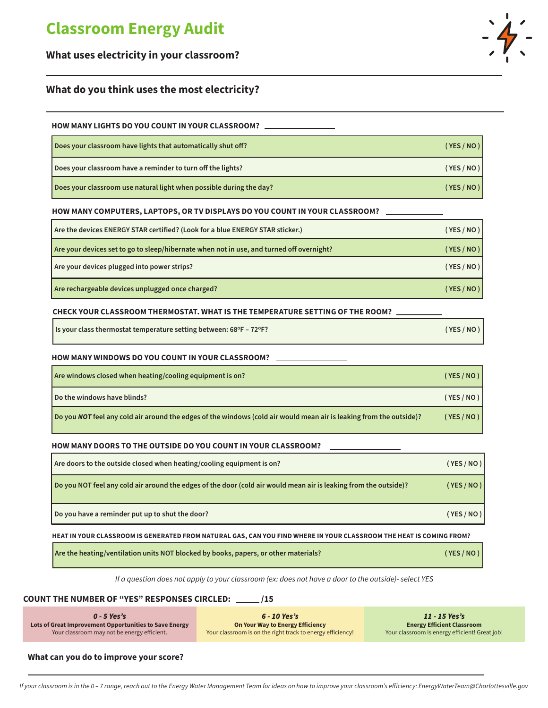# **Classroom Energy Audit**

### **What uses electricity in your classroom?**

### **What do you think uses the most electricity?**

#### **HOW MANY LIGHTS DO YOU COUNT IN YOUR CLASSROOM?**

| Does your classroom have lights that automatically shut off?        | (YES/NO) |
|---------------------------------------------------------------------|----------|
| Does your classroom have a reminder to turn off the lights?         | (YES/NO) |
| Does your classroom use natural light when possible during the day? | (YES/NO) |

#### **HOW MANY COMPUTERS, LAPTOPS, OR TV DISPLAYS DO YOU COUNT IN YOUR CLASSROOM?**

| Are the devices ENERGY STAR certified? (Look for a blue ENERGY STAR sticker.)            | (YES / NO ) |
|------------------------------------------------------------------------------------------|-------------|
| Are your devices set to go to sleep/hibernate when not in use, and turned off overnight? | (YES / NO ) |
| Are your devices plugged into power strips?                                              | (YES / NO ) |
| Are rechargeable devices unplugged once charged?                                         | (YES / NO ) |

#### **CHECK YOUR CLASSROOM THERMOSTAT. WHAT IS THE TEMPERATURE SETTING OF THE ROOM?**

| Is your class thermostat temperature setting between: 68°F - 72°F? | (YES/NO) |
|--------------------------------------------------------------------|----------|
|--------------------------------------------------------------------|----------|

#### **HOW MANY WINDOWS DO YOU COUNT IN YOUR CLASSROOM?**

| Are windows closed when heating/cooling equipment is on?                                                            | (YES/NO) |
|---------------------------------------------------------------------------------------------------------------------|----------|
| Do the windows have blinds?                                                                                         | (YES/NO) |
| Do you NOT feel any cold air around the edges of the windows (cold air would mean air is leaking from the outside)? | (YES/NO) |

#### **HOW MANY DOORS TO THE OUTSIDE DO YOU COUNT IN YOUR CLASSROOM?**

| Are doors to the outside closed when heating/cooling equipment is on?                                            | (YES/NO) |
|------------------------------------------------------------------------------------------------------------------|----------|
| Do you NOT feel any cold air around the edges of the door (cold air would mean air is leaking from the outside)? | (YES/NO) |
| Do you have a reminder put up to shut the door?                                                                  | (YES/NO) |

#### **HEAT IN YOUR CLASSROOM IS GENERATED FROM NATURAL GAS, CAN YOU FIND WHERE IN YOUR CLASSROOM THE HEAT IS COMING FROM?**

| Are the heating/ventilation units NOT blocked by books, papers, or other materials? | (YES/NO) |
|-------------------------------------------------------------------------------------|----------|
|-------------------------------------------------------------------------------------|----------|

*If a question does not apply to your classroom (ex: does not have a door to the outside)- select YES*

#### **COUNT THE NUMBER OF "YES" RESPONSES CIRCLED: \_\_\_\_\_ /15**

*0 - 5 Yes's* **Lots of Great Improvement Opportunities to Save Energy** Your classroom may not be energy efficient.

*6 - 10 Yes's* **On Your Way to Energy Efficiency** Your classroom is on the right track to energy efficiency!

*11 - 15 Yes's* **Energy Efficient Classroom** Your classroom is energy efficient! Great job!

**What can you do to improve your score?**

п